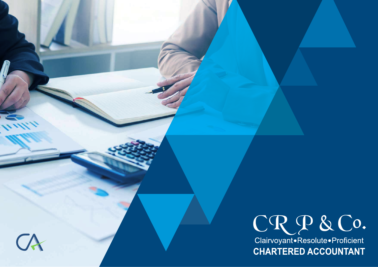



Clairvoyant.Resolute.Proficient **CHARTERED ACCOUNTANT**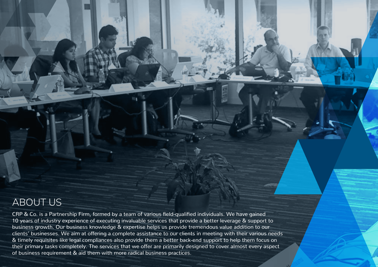# ABOUT US

CRP & Co. is a Partnership Firm, formed by a team of various field-qualified individuals. We have gained 10 years of industry experience of executing invaluable services that provide a better leverage & support to business growth. Our business knowledge & expertise helps us provide tremendous value addition to our clients' businesses. We aim at offering a complete assistance to our clients in meeting with their various needs & timely requisites like legal compliances also provide them a better back-end support to help them focus on their primary tasks completely. The services that we offer are primarily designed to cover almost every aspect of business requirement & aid them with more radical business practices.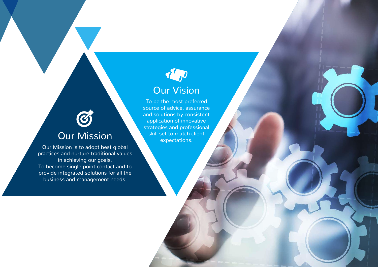# Our Vision

To be the most preferred source of advice, assurance and solutions by consistent application of innovative strategies and professional Our Mission skill set to match client

 $\odot$ 

Our Mission is to adopt best global practices and nurture traditional values in achieving our goals. To become single point contact and to provide integrated solutions for all the business and management needs.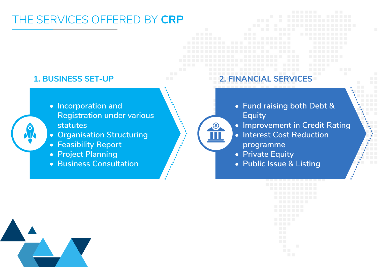# THE SERVICES OFFERED BY **CRP**

<u>S</u>

- **• Incorporation and Registration under various statutes**
- **• Organisation Structuring**
- **• Feasibility Report**
- **• Project Planning**
- **• Business Consultation**

## **1. BUSINESS SET-UP 2. FINANCIAL SERVICES**

- **• Fund raising both Debt & Equity**
- **• Improvement in Credit Rating**
- **• Interest Cost Reduction programme**
- 
- **• Private Equity**
- **• Public Issue & Listing**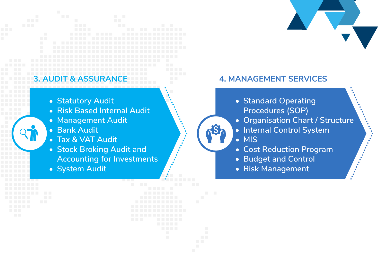- **• Statutory Audit**
- **• Risk Based Internal Audit**
- **• Management Audit**
- **• Bank Audit**
- **• Tax & VAT Audit**
- **• Stock Broking Audit and Accounting for Investments**
- **• System Audit**

## **3. AUDIT & ASSURANCE 4. MANAGEMENT SERVICES**

- **• Standard Operating Procedures (SOP)**
- **• Organisation Chart / Structure**
- **• Internal Control System**
- **• MIS**
- **• Cost Reduction Program**
- **• Budget and Control**
- **• Risk Management**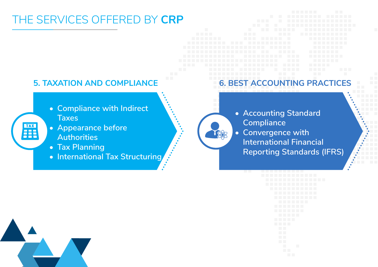# THE SERVICES OFFERED BY **CRP**

- **• Compliance with Indirect Taxes**
- **• Appearance before Authorities**
- **• Tax Planning**

**TAX** Fil

**• International Tax Structuring**

## **5. TAXATION AND COMPLIANCE 6. BEST ACCOUNTING PRACTICES**

**• Accounting Standard Compliance**

F&B

**• Convergence with International Financial Reporting Standards (IFRS)**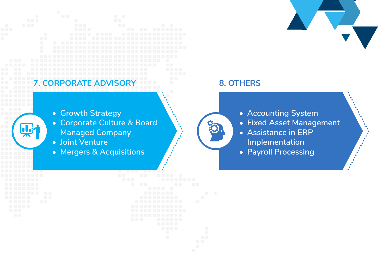# **7. CORPORATE ADVISORY 8. OTHERS**

- **• Growth Strategy**
- **• Corporate Culture & Board Managed Company**
- **• Joint Venture**
- **• Mergers & Acquisitions**

- **• Accounting System**
- **• Fixed Asset Management**
- **• Assistance in ERP Implementation**
- **• Payroll Processing**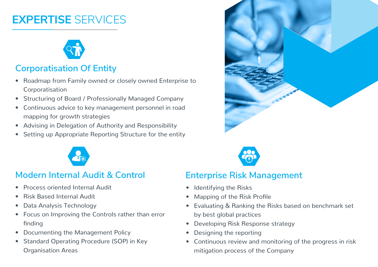# **EXPERTISE** SERVICES



# **Corporatisation Of Entity**

- Roadmap from Family owned or closely owned Enterprise to Corporatisation
- Structuring of Board / Professionally Managed Company
- Continuous advice to key management personnel in road mapping for growth strategies
- Advising in Delegation of Authority and Responsibility
- Setting up Appropriate Reporting Structure for the entity



# **Modern Internal Audit & Control**

- Process oriented Internal Audit
- Risk Based Internal Audit
- Data Analysis Technology
- Focus on Improving the Controls rather than error finding
- Documenting the Management Policy
- Standard Operating Procedure (SOP) in Key Organisation Areas





## **Enterprise Risk Management**

- Identifying the Risks
- Mapping of the Risk Profile
- Evaluating & Ranking the Risks based on benchmark set by best global practices
- Developing Risk Response strategy
- Designing the reporting
- Continuous review and monitoring of the progress in risk mitigation process of the Company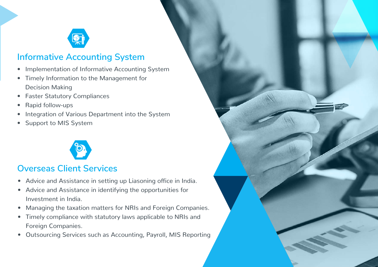

## **Informative Accounting System**

- Implementation of Informative Accounting System
- Timely Information to the Management for Decision Making
- Faster Statutory Compliances
- Rapid follow-ups
- Integration of Various Department into the System
- Support to MIS System



# **Overseas Client Services**

- Advice and Assistance in setting up Liasoning office in India.
- Advice and Assistance in identifying the opportunities for Investment in India.
- Managing the taxation matters for NRIs and Foreign Companies.
- Timely compliance with statutory laws applicable to NRIs and Foreign Companies.
- Outsourcing Services such as Accounting, Payroll, MIS Reporting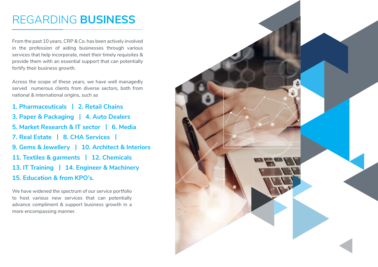# REGARDING **BUSINESS**

From the past 10 years, CRP & Co. has been actively involved in the profession of aiding businesses through various services that help incorporate, meet their timely requisites & provide them with an essential support that can potentially fortify their business growth.

Across the scope of these years, we have well managedly served numerous clients from diverse sectors, both from national & international origins, such as

- **1. Pharmaceuticals | 2. Retail Chains**
- **3. Paper & Packaging | 4. Auto Dealers**
- **5. Market Research & IT sector | 6. Media**
- **7. Real Estate | 8. CHA Services |**
- **9. Gems & Jewellery | 10. Architect & Interiors**
- **11. Textiles & garments | 12. Chemicals**
- **13. IT Training | 14. Engineer & Machinery**

### **15. Education & from KPO's.**

We have widened the spectrum of our service portfolio to host various new services that can potentially advance compliment & support business growth in a more encompassing manner.

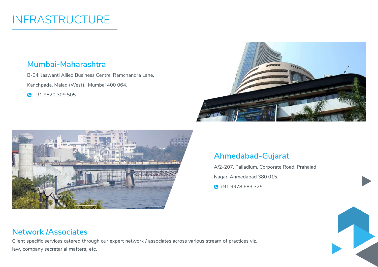# INFRASTRUCTURE

## **Mumbai-Maharashtra**

B-04, Jaswanti Allied Business Centre, Ramchandra Lane,

Kanchpada, Malad (West), Mumbai 400 064.

 $\bigodot$  +91 9820 309 505





## **Ahmedabad-Gujarat**

A/2-207, Palladium, Corporate Road, Prahalad

Nagar, Ahmedabad 380 015.

**0** +91 9978 683 325



Client specific services catered through our expert network / associates across various stream of practices viz. law, company secretarial matters, etc.

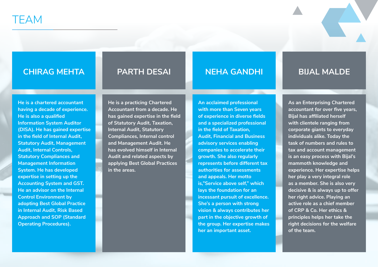### **CHIRAG MEHTA PARTH DESAI NEHA GANDHI BIJAL MALDE**

**He is a chartered accountant having a decade of experience. He is also a qualified Information System Auditor (DISA). He has gained expertise in the field of Internal Audit, Statutory Audit, Management Audit, Internal Controls, Statutory Compliances and Management Information System. He has developed expertise in setting up the Accounting System and GST. He an advisor on the Internal Control Environment by adopting Best Global Practice in Internal Audit, Risk Based Approach and SOP (Standard Operating Procedures).**

**He is a practicing Chartered Accountant from a decade. He has gained expertise in the field of Statutory Audit, Taxation, Internal Audit, Statutory Compliances, Internal control and Management Audit. He has evolved himself in Internal Audit and related aspects by applying Best Global Practices in the areas.**

**An acclaimed professional with more than Seven years of experience in diverse fields and a specialized professional in the field of Taxation, Audit, Financial and Business advisory services enabling companies to accelerate their growth. She also regularly represents before different tax authorities for assessments and appeals. Her motto is,"Service above self," which lays the foundation for an incessant pursuit of excellence. She's a person with strong vision & always contributes her part in the objective growth of the group. Her expertise makes her an important asset.**

**As an Enterprising Chartered accountant for over five years, Bijal has affiliated herself with clientele ranging from corporate giants to everyday individuals alike. Today the task of numbers and rules to tax and account management is an easy process with Bijal's mammoth knowledge and experience. Her expertise helps her play a very integral role as a member. She is also very decisive & is always up to offer her right advice. Playing an active role as a chief member of CRP & Co. Her ethics & principles helps her take the right decisions for the welfare of the team.**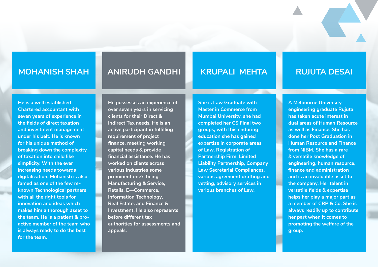### **MOHANISH SHAH**

## **ANIRUDH GANDHI**

### **KRUPALI MEHTA**

### **He is a well established Chartered accountant with seven years of experience in the fields of direct taxation and investment management under his belt. He is known for his unique method of breaking down the complexity of taxation into child like simplicity. With the ever increasing needs towards digitalization, Mohanish is also famed as one of the few reknown Technological partners with all the right tools for innovation and ideas which makes him a thorough asset to the team. He is a patient & proactive member of the team who is always ready to do the best for the team.**

**He possesses an experience of over seven years in servicing clients for their Direct & Indirect Tax needs. He is an active participant in fulfilling requirement of project finance, meeting working capital needs & provide financial assistance. He has worked on clients across various industries some prominent one's being Manufacturing & Service, Retails, E—Commerce, Information Technology, Real Estate, and Finance & Investment. He also represents before different tax authorities for assessments and appeals.** 

**She is Law Graduate with Master in Commerce from Mumbai University, she had completed her CS Final two groups, with this enduring education she has gained expertise in corporate areas of Law, Registration of Partnership Firm, Limited Liability Partnership, Company Law Secretarial Compliances, various agreement drafting and vetting, advisory services in various branches of Law.**

### **RUJUTA DESAI**

**A Melbourne University engineering graduate Rujuta has taken acute interest in dual areas of Human Resource as well as Finance. She has done her Post Graduation in Human Resource and Finance from NIBM. She has a rare & versatile knowledge of engineering, human resource, finance and administration and is an invaluable asset to the company. Her talent in versatile fields & expertise helps her play a major part as a member of CRP & Co. She is always readily up to contribute her part when it comes to promoting the welfare of the group.**